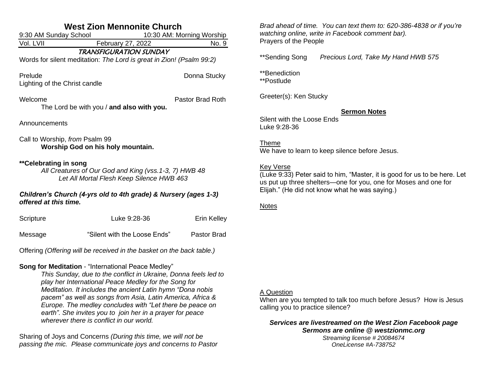| <b>West Zion Mennonite Church</b>                                                                                            |                                                                                                                                                                                                                                                                                                                                                                                                                                                                                |                    |  |  |
|------------------------------------------------------------------------------------------------------------------------------|--------------------------------------------------------------------------------------------------------------------------------------------------------------------------------------------------------------------------------------------------------------------------------------------------------------------------------------------------------------------------------------------------------------------------------------------------------------------------------|--------------------|--|--|
| 9:30 AM Sunday School<br>10:30 AM: Morning Worship                                                                           |                                                                                                                                                                                                                                                                                                                                                                                                                                                                                |                    |  |  |
| Vol. LVII                                                                                                                    | February 27, 2022                                                                                                                                                                                                                                                                                                                                                                                                                                                              | No. 9              |  |  |
| <b>TRANSFIGURATION SUNDAY</b><br>Words for silent meditation: The Lord is great in Zion! (Psalm 99:2)                        |                                                                                                                                                                                                                                                                                                                                                                                                                                                                                |                    |  |  |
| Prelude<br>Lighting of the Christ candle                                                                                     |                                                                                                                                                                                                                                                                                                                                                                                                                                                                                | Donna Stucky       |  |  |
| Welcome                                                                                                                      | The Lord be with you / and also with you.                                                                                                                                                                                                                                                                                                                                                                                                                                      | Pastor Brad Roth   |  |  |
| Announcements                                                                                                                |                                                                                                                                                                                                                                                                                                                                                                                                                                                                                |                    |  |  |
| Call to Worship, from Psalm 99<br>Worship God on his holy mountain.                                                          |                                                                                                                                                                                                                                                                                                                                                                                                                                                                                |                    |  |  |
| **Celebrating in song<br>All Creatures of Our God and King (vss. 1-3, 7) HWB 48<br>Let All Mortal Flesh Keep Silence HWB 463 |                                                                                                                                                                                                                                                                                                                                                                                                                                                                                |                    |  |  |
| Children's Church (4-yrs old to 4th grade) & Nursery (ages 1-3)<br>offered at this time.                                     |                                                                                                                                                                                                                                                                                                                                                                                                                                                                                |                    |  |  |
| Scripture                                                                                                                    | Luke 9:28-36                                                                                                                                                                                                                                                                                                                                                                                                                                                                   | Erin Kelley        |  |  |
| Message                                                                                                                      | "Silent with the Loose Ends"                                                                                                                                                                                                                                                                                                                                                                                                                                                   | <b>Pastor Brad</b> |  |  |
| Offering (Offering will be received in the basket on the back table.)                                                        |                                                                                                                                                                                                                                                                                                                                                                                                                                                                                |                    |  |  |
|                                                                                                                              | Song for Meditation - "International Peace Medley"<br>This Sunday, due to the conflict in Ukraine, Donna feels led to<br>play her International Peace Medley for the Song for<br>Meditation. It includes the ancient Latin hymn "Dona nobis<br>pacem" as well as songs from Asia, Latin America, Africa &<br>Europe. The medley concludes with "Let there be peace on<br>earth". She invites you to join her in a prayer for peace<br>wherever there is conflict in our world. |                    |  |  |
| Sharing of Joys and Concerns (During this time, we will not be                                                               |                                                                                                                                                                                                                                                                                                                                                                                                                                                                                |                    |  |  |

*passing the mic. Please communicate joys and concerns to Pastor* 

*Brad ahead of time. You can text them to: 620-386-4838 or if you're watching online, write in Facebook comment bar).* Prayers of the People

\*\*Sending Song *Precious Lord, Take My Hand HWB 575*

\*\*Benediction

\*\*Postlude

Greeter(s): Ken Stucky

### **Sermon Notes**

Silent with the Loose Ends Luke 9:28-36

## Theme

We have to learn to keep silence before Jesus.

#### **Key Verse**

(Luke 9:33) Peter said to him, "Master, it is good for us to be here. Let us put up three shelters—one for you, one for Moses and one for Elijah." (He did not know what he was saying.)

### **Notes**

### A Question

When are you tempted to talk too much before Jesus? How is Jesus calling you to practice silence?

*Services are livestreamed on the West Zion Facebook page Sermons are online @ westzionmc.org Streaming license # 20084674*

*OneLicense #A-738752*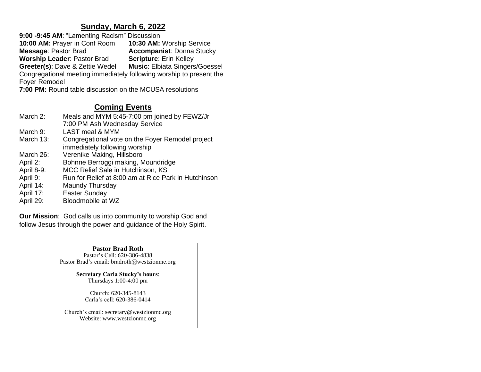## **Sunday, March 6, 2022**

**9:00 -9:45 AM**: "Lamenting Racism" Discussion **10:00 AM:** Prayer in Conf Room **10:30 AM:** Worship Service **Accompanist: Donna Stucky<br><b>Scripture:** Erin Kelley **Worship Leader: Pastor Brad Greeter(s): Dave & Zettie Wedel Music: Elbiata Singers/Goessel** Congregational meeting immediately following worship to present the Foyer Remodel **7:00 PM:** Round table discussion on the MCUSA resolutions

# **Coming Events**

| March 2:   | Meals and MYM 5:45-7:00 pm joined by FEWZ/Jr<br>7:00 PM Ash Wednesday Service |
|------------|-------------------------------------------------------------------------------|
| March 9:   | LAST meal & MYM                                                               |
| March 13:  | Congregational vote on the Foyer Remodel project                              |
|            | immediately following worship                                                 |
| March 26:  | Verenike Making, Hillsboro                                                    |
| April 2:   | Bohnne Berroggi making, Moundridge                                            |
| April 8-9: | MCC Relief Sale in Hutchinson, KS                                             |
| April 9:   | Run for Relief at 8:00 am at Rice Park in Hutchinson                          |
| April 14:  | Maundy Thursday                                                               |
| April 17:  | <b>Easter Sunday</b>                                                          |
| April 29:  | Bloodmobile at WZ                                                             |

**Our Mission**: God calls us into community to worship God and follow Jesus through the power and guidance of the Holy Spirit.

> **Pastor Brad Roth** Pastor's Cell: 620-386-4838 Pastor Brad's email: bradroth@westzionmc.org

> > **Secretary Carla Stucky's hours**: Thursdays 1:00-4:00 pm

> > > Church: 620-345-8143 Carla's cell: 620-386-0414

Church's email: secretary@westzionmc.org Website: www.westzionmc.org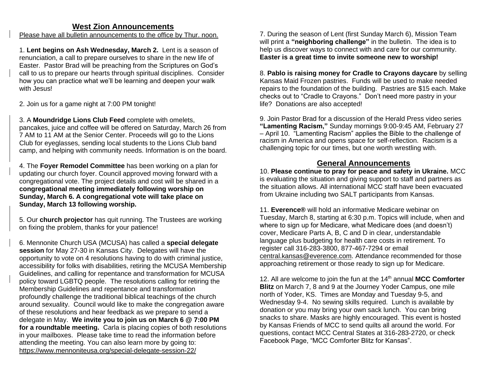### **West Zion Announcements**

Please have all bulletin announcements to the office by Thur. noon.

1. **Lent begins on Ash Wednesday, March 2.** Lent is a season of renunciation, a call to prepare ourselves to share in the new life of Easter. Pastor Brad will be preaching from the Scriptures on God's call to us to prepare our hearts through spiritual disciplines. Consider how you can practice what we'll be learning and deepen your walk with Jesus!

2. Join us for a game night at 7:00 PM tonight!

3. A **Moundridge Lions Club Feed** complete with omelets, pancakes, juice and coffee will be offered on Saturday, March 26 from 7 AM to 11 AM at the Senior Center. Proceeds will go to the Lions Club for eyeglasses, sending local students to the Lions Club band camp, and helping with community needs. Information is on the board.

4. The **Foyer Remodel Committee** has been working on a plan for updating our church foyer. Council approved moving forward with a congregational vote. The project details and cost will be shared in a **congregational meeting immediately following worship on Sunday, March 6. A congregational vote will take place on Sunday, March 13 following worship.**

5. Our **church projector** has quit running. The Trustees are working on fixing the problem, thanks for your patience!

6. Mennonite Church USA (MCUSA) has called a **special delegate session** for May 27-30 in Kansas City. Delegates will have the opportunity to vote on 4 resolutions having to do with criminal justice, accessibility for folks with disabilities, retiring the MCUSA Membership Guidelines, and calling for repentance and transformation for MCUSA policy toward LGBTQ people. The resolutions calling for retiring the Membership Guidelines and repentance and transformation profoundly challenge the traditional biblical teachings of the church around sexuality. Council would like to make the congregation aware of these resolutions and hear feedback as we prepare to send a delegate in May. **We invite you to join us on March 6 @ 7:00 PM for a roundtable meeting.** Carla is placing copies of both resolutions in your mailboxes. Please take time to read the information before attending the meeting. You can also learn more by going to: <https://www.mennoniteusa.org/special-delegate-session-22/>

7. During the season of Lent (first Sunday March 6), Mission Team will print a **"neighboring challenge"** in the bulletin. The idea is to help us discover ways to connect with and care for our community. **Easter is a great time to invite someone new to worship!**

8. **Pablo is raising money for Cradle to Crayons daycare** by selling Kansas Maid Frozen pastries. Funds will be used to make needed repairs to the foundation of the building. Pastries are \$15 each. Make checks out to "Cradle to Crayons." Don't need more pastry in your life? Donations are also accepted!

9. Join Pastor Brad for a discussion of the Herald Press video series **"Lamenting Racism,"** Sunday mornings 9:00-9:45 AM, February 27 – April 10. "Lamenting Racism" applies the Bible to the challenge of racism in America and opens space for self-reflection. Racism is a challenging topic for our times, but one worth wrestling with.

# **General Announcements**

10. **Please continue to pray for peace and safety in Ukraine.** MCC is evaluating the situation and giving support to staff and partners as the situation allows. All international MCC staff have been evacuated from Ukraine including two SALT participants from Kansas.

11. **Everence®** will hold an informative Medicare webinar on Tuesday, March 8, starting at 6:30 p.m. Topics will include, when and where to sign up for Medicare, what Medicare does (and doesn't) cover, Medicare Parts A, B, C and D in clear, understandable language plus budgeting for health care costs in retirement. To register call 316-283-3800, 877-467-7294 or email [central.kansas@everence.com.](mailto:central.kansas@everence.com) Attendance recommended for those approaching retirement or those ready to sign up for Medicare.

12. All are welcome to join the fun at the 14th annual **MCC Comforter Blitz** on March 7, 8 and 9 at the Journey Yoder Campus, one mile north of Yoder, KS. Times are Monday and Tuesday 9-5, and Wednesday 9-4. No sewing skills required. Lunch is available by donation or you may bring your own sack lunch. You can bring snacks to share. Masks are highly encouraged. This event is hosted by Kansas Friends of MCC to send quilts all around the world. For questions, contact MCC Central States at 316-283-2720, or check Facebook Page, "MCC Comforter Blitz for Kansas".